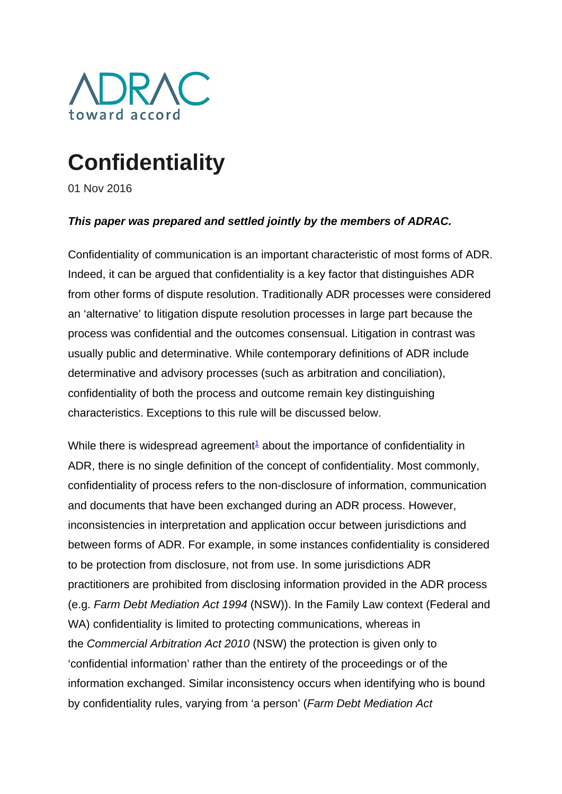

# **Confidentiality**

01 Nov 2016

### *This paper was prepared and settled jointly by the members of ADRAC.*

Confidentiality of communication is an important characteristic of most forms of ADR. Indeed, it can be argued that confidentiality is a key factor that distinguishes ADR from other forms of dispute resolution. Traditionally ADR processes were considered an 'alternative' to litigation dispute resolution processes in large part because the process was confidential and the outcomes consensual. Litigation in contrast was usually public and determinative. While contemporary definitions of ADR include determinative and advisory processes (such as arbitration and conciliation), confidentiality of both the process and outcome remain key distinguishing characteristics. Exceptions to this rule will be discussed below.

While there is widespread agreement<sup>1</sup> about the importance of confidentiality in ADR, there is no single definition of the concept of confidentiality. Most commonly, confidentiality of process refers to the non-disclosure of information, communication and documents that have been exchanged during an ADR process. However, inconsistencies in interpretation and application occur between jurisdictions and between forms of ADR. For example, in some instances confidentiality is considered to be protection from disclosure, not from use. In some jurisdictions ADR practitioners are prohibited from disclosing information provided in the ADR process (e.g. *Farm Debt Mediation Act 1994* (NSW)). In the Family Law context (Federal and WA) confidentiality is limited to protecting communications, whereas in the *Commercial Arbitration Act 2010* (NSW) the protection is given only to 'confidential information' rather than the entirety of the proceedings or of the information exchanged. Similar inconsistency occurs when identifying who is bound by confidentiality rules, varying from 'a person' (*Farm Debt Mediation Act*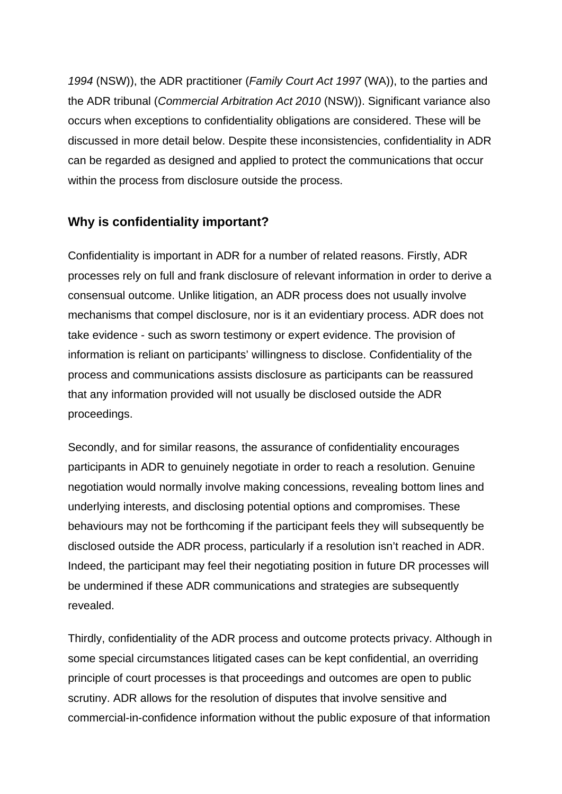*1994* (NSW)), the ADR practitioner (*Family Court Act 1997* (WA)), to the parties and the ADR tribunal (*Commercial Arbitration Act 2010* (NSW)). Significant variance also occurs when exceptions to confidentiality obligations are considered. These will be discussed in more detail below. Despite these inconsistencies, confidentiality in ADR can be regarded as designed and applied to protect the communications that occur within the process from disclosure outside the process.

## **Why is confidentiality important?**

Confidentiality is important in ADR for a number of related reasons. Firstly, ADR processes rely on full and frank disclosure of relevant information in order to derive a consensual outcome. Unlike litigation, an ADR process does not usually involve mechanisms that compel disclosure, nor is it an evidentiary process. ADR does not take evidence - such as sworn testimony or expert evidence. The provision of information is reliant on participants' willingness to disclose. Confidentiality of the process and communications assists disclosure as participants can be reassured that any information provided will not usually be disclosed outside the ADR proceedings.

Secondly, and for similar reasons, the assurance of confidentiality encourages participants in ADR to genuinely negotiate in order to reach a resolution. Genuine negotiation would normally involve making concessions, revealing bottom lines and underlying interests, and disclosing potential options and compromises. These behaviours may not be forthcoming if the participant feels they will subsequently be disclosed outside the ADR process, particularly if a resolution isn't reached in ADR. Indeed, the participant may feel their negotiating position in future DR processes will be undermined if these ADR communications and strategies are subsequently revealed.

Thirdly, confidentiality of the ADR process and outcome protects privacy. Although in some special circumstances litigated cases can be kept confidential, an overriding principle of court processes is that proceedings and outcomes are open to public scrutiny. ADR allows for the resolution of disputes that involve sensitive and commercial-in-confidence information without the public exposure of that information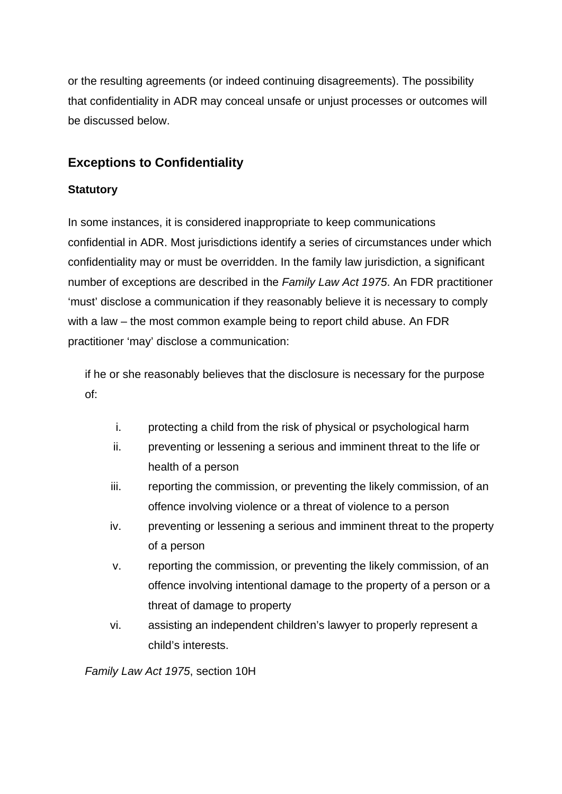or the resulting agreements (or indeed continuing disagreements). The possibility that confidentiality in ADR may conceal unsafe or unjust processes or outcomes will be discussed below.

# **Exceptions to Confidentiality**

#### **Statutory**

In some instances, it is considered inappropriate to keep communications confidential in ADR. Most jurisdictions identify a series of circumstances under which confidentiality may or must be overridden. In the family law jurisdiction, a significant number of exceptions are described in the *Family Law Act 1975*. An FDR practitioner 'must' disclose a communication if they reasonably believe it is necessary to comply with a law – the most common example being to report child abuse. An FDR practitioner 'may' disclose a communication:

if he or she reasonably believes that the disclosure is necessary for the purpose of:

- i. protecting a child from the risk of physical or psychological harm
- ii. preventing or lessening a serious and imminent threat to the life or health of a person
- iii. reporting the commission, or preventing the likely commission, of an offence involving violence or a threat of violence to a person
- iv. preventing or lessening a serious and imminent threat to the property of a person
- v. reporting the commission, or preventing the likely commission, of an offence involving intentional damage to the property of a person or a threat of damage to property
- vi. assisting an independent children's lawyer to properly represent a child's interests.

*Family Law Act 1975*, section 10H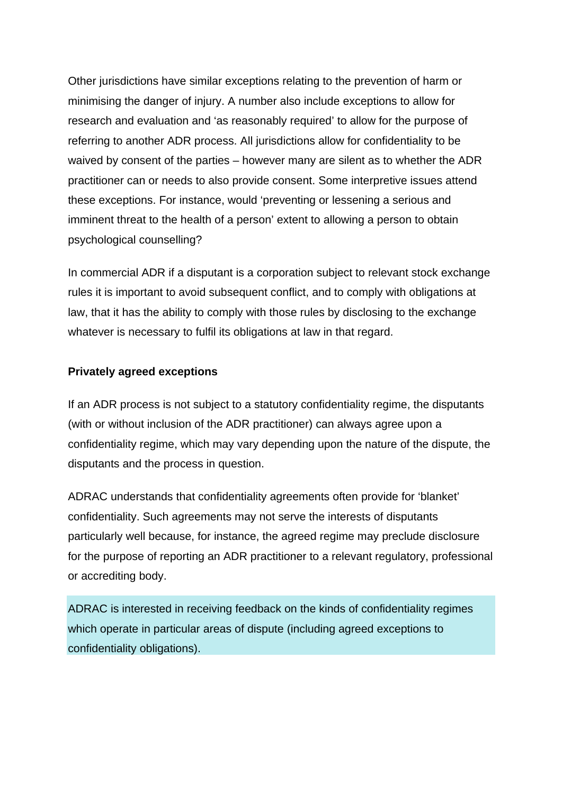Other jurisdictions have similar exceptions relating to the prevention of harm or minimising the danger of injury. A number also include exceptions to allow for research and evaluation and 'as reasonably required' to allow for the purpose of referring to another ADR process. All jurisdictions allow for confidentiality to be waived by consent of the parties – however many are silent as to whether the ADR practitioner can or needs to also provide consent. Some interpretive issues attend these exceptions. For instance, would 'preventing or lessening a serious and imminent threat to the health of a person' extent to allowing a person to obtain psychological counselling?

In commercial ADR if a disputant is a corporation subject to relevant stock exchange rules it is important to avoid subsequent conflict, and to comply with obligations at law, that it has the ability to comply with those rules by disclosing to the exchange whatever is necessary to fulfil its obligations at law in that regard.

### **Privately agreed exceptions**

If an ADR process is not subject to a statutory confidentiality regime, the disputants (with or without inclusion of the ADR practitioner) can always agree upon a confidentiality regime, which may vary depending upon the nature of the dispute, the disputants and the process in question.

ADRAC understands that confidentiality agreements often provide for 'blanket' confidentiality. Such agreements may not serve the interests of disputants particularly well because, for instance, the agreed regime may preclude disclosure for the purpose of reporting an ADR practitioner to a relevant regulatory, professional or accrediting body.

ADRAC is interested in receiving feedback on the kinds of confidentiality regimes which operate in particular areas of dispute (including agreed exceptions to confidentiality obligations).